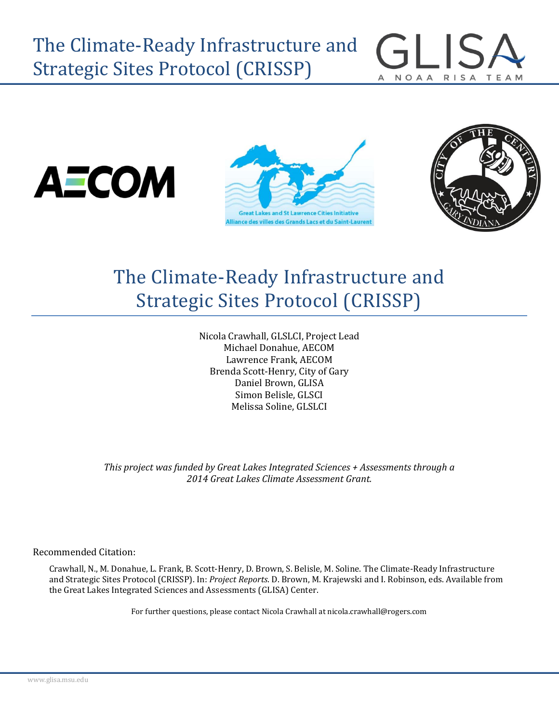







# The Climate-Ready Infrastructure and Strategic Sites Protocol (CRISSP)

Nicola Crawhall, GLSLCI, Project Lead Michael Donahue, AECOM Lawrence Frank, AECOM Brenda Scott-Henry, City of Gary Daniel Brown, GLISA Simon Belisle, GLSCI Melissa Soline, GLSLCI

*This project was funded by Great Lakes Integrated Sciences + Assessments through a 2014 Great Lakes Climate Assessment Grant.*

Recommended Citation:

Crawhall, N., M. Donahue, L. Frank, B. Scott-Henry, D. Brown, S. Belisle, M. Soline. The Climate-Ready Infrastructure and Strategic Sites Protocol (CRISSP). In: *Project Reports*. D. Brown, M. Krajewski and I. Robinson, eds. Available from the Great Lakes Integrated Sciences and Assessments (GLISA) Center.

For further questions, please contact Nicola Crawhall at nicola.crawhall@rogers.com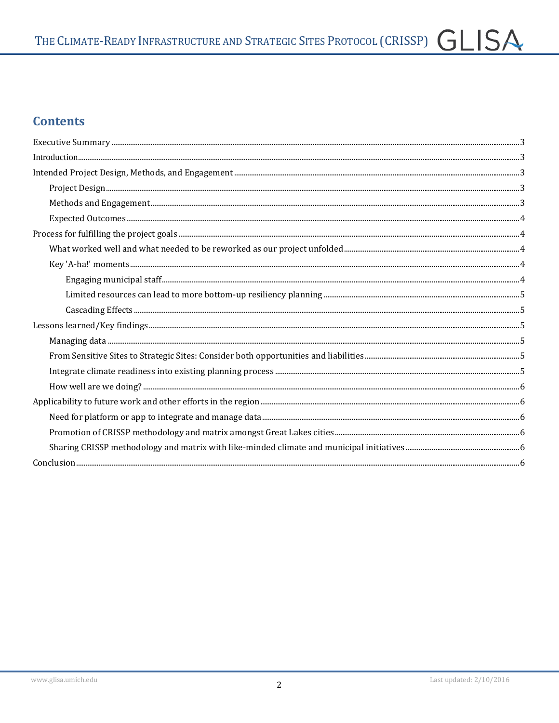## **Contents**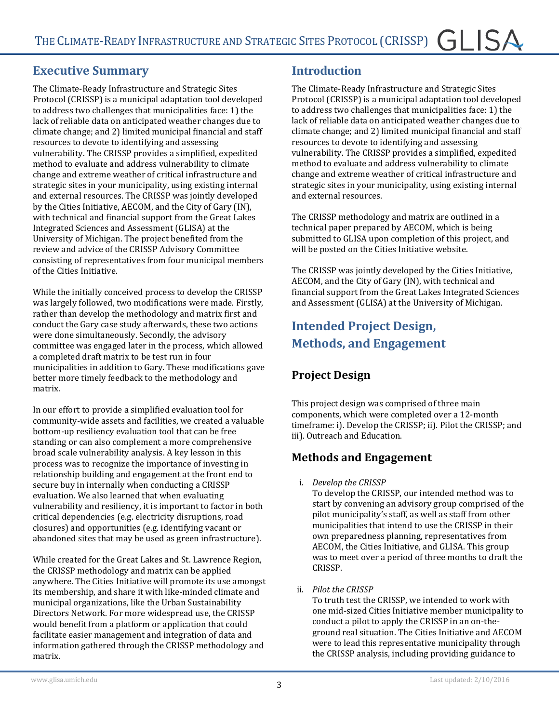### <span id="page-2-0"></span>**Executive Summary**

The Climate-Ready Infrastructure and Strategic Sites Protocol (CRISSP) is a municipal adaptation tool developed to address two challenges that municipalities face: 1) the lack of reliable data on anticipated weather changes due to climate change; and 2) limited municipal financial and staff resources to devote to identifying and assessing vulnerability. The CRISSP provides a simplified, expedited method to evaluate and address vulnerability to climate change and extreme weather of critical infrastructure and strategic sites in your municipality, using existing internal and external resources. The CRISSP was jointly developed by the Cities Initiative, AECOM, and the City of Gary (IN), with technical and financial support from the Great Lakes Integrated Sciences and Assessment (GLISA) at the University of Michigan. The project benefited from the review and advice of the CRISSP Advisory Committee consisting of representatives from four municipal members of the Cities Initiative.

While the initially conceived process to develop the CRISSP was largely followed, two modifications were made. Firstly, rather than develop the methodology and matrix first and conduct the Gary case study afterwards, these two actions were done simultaneously. Secondly, the advisory committee was engaged later in the process, which allowed a completed draft matrix to be test run in four municipalities in addition to Gary. These modifications gave better more timely feedback to the methodology and matrix.

In our effort to provide a simplified evaluation tool for community-wide assets and facilities, we created a valuable bottom-up resiliency evaluation tool that can be free standing or can also complement a more comprehensive broad scale vulnerability analysis. A key lesson in this process was to recognize the importance of investing in relationship building and engagement at the front end to secure buy in internally when conducting a CRISSP evaluation. We also learned that when evaluating vulnerability and resiliency, it is important to factor in both critical dependencies (e.g. electricity disruptions, road closures) and opportunities (e.g. identifying vacant or abandoned sites that may be used as green infrastructure).

While created for the Great Lakes and St. Lawrence Region, the CRISSP methodology and matrix can be applied anywhere. The Cities Initiative will promote its use amongst its membership, and share it with like-minded climate and municipal organizations, like the Urban Sustainability Directors Network. For more widespread use, the CRISSP would benefit from a platform or application that could facilitate easier management and integration of data and information gathered through the CRISSP methodology and matrix.

#### <span id="page-2-1"></span>**Introduction**

The Climate-Ready Infrastructure and Strategic Sites Protocol (CRISSP) is a municipal adaptation tool developed to address two challenges that municipalities face: 1) the lack of reliable data on anticipated weather changes due to climate change; and 2) limited municipal financial and staff resources to devote to identifying and assessing vulnerability. The CRISSP provides a simplified, expedited method to evaluate and address vulnerability to climate change and extreme weather of critical infrastructure and strategic sites in your municipality, using existing internal and external resources.

The CRISSP methodology and matrix are outlined in a technical paper prepared by AECOM, which is being submitted to GLISA upon completion of this project, and will be posted on the Cities Initiative website.

The CRISSP was jointly developed by the Cities Initiative, AECOM, and the City of Gary (IN), with technical and financial support from the Great Lakes Integrated Sciences and Assessment (GLISA) at the University of Michigan.

# <span id="page-2-2"></span>**Intended Project Design, Methods, and Engagement**

## <span id="page-2-3"></span>**Project Design**

This project design was comprised of three main components, which were completed over a 12-month timeframe: i). Develop the CRISSP; ii). Pilot the CRISSP; and iii). Outreach and Education.

### <span id="page-2-4"></span>**Methods and Engagement**

i. *Develop the CRISSP*

To develop the CRISSP, our intended method was to start by convening an advisory group comprised of the pilot municipality's staff, as well as staff from other municipalities that intend to use the CRISSP in their own preparedness planning, representatives from AECOM, the Cities Initiative, and GLISA. This group was to meet over a period of three months to draft the CRISSP.

ii. *Pilot the CRISSP*

To truth test the CRISSP, we intended to work with one mid-sized Cities Initiative member municipality to conduct a pilot to apply the CRISSP in an on-theground real situation. The Cities Initiative and AECOM were to lead this representative municipality through the CRISSP analysis, including providing guidance to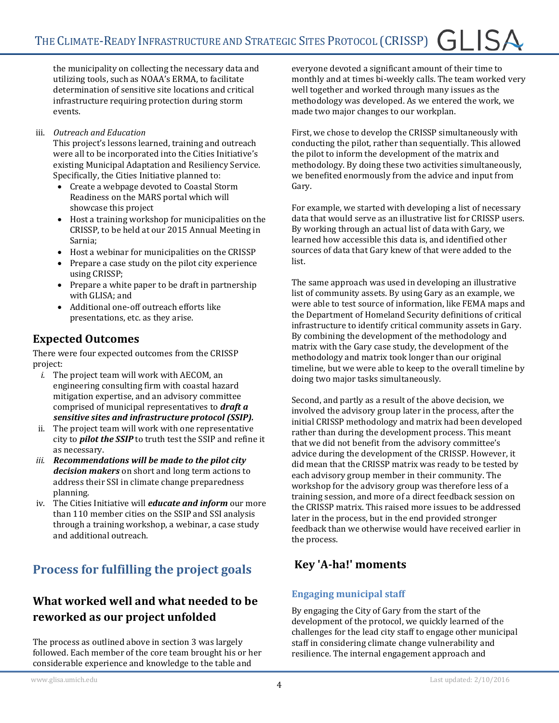the municipality on collecting the necessary data and utilizing tools, such as NOAA's ERMA, to facilitate determination of sensitive site locations and critical infrastructure requiring protection during storm events.

#### iii. *Outreach and Education*

This project's lessons learned, training and outreach were all to be incorporated into the Cities Initiative's existing Municipal Adaptation and Resiliency Service. Specifically, the Cities Initiative planned to:

- Create a webpage devoted to Coastal Storm Readiness on the MARS portal which will showcase this project
- Host a training workshop for municipalities on the CRISSP, to be held at our 2015 Annual Meeting in Sarnia;
- Host a webinar for municipalities on the CRISSP
- Prepare a case study on the pilot city experience using CRISSP;
- Prepare a white paper to be draft in partnership with GLISA; and
- Additional one-off outreach efforts like presentations, etc. as they arise.

### <span id="page-3-0"></span>**Expected Outcomes**

There were four expected outcomes from the CRISSP project:

- *i.* The project team will work with AECOM, an engineering consulting firm with coastal hazard mitigation expertise, and an advisory committee comprised of municipal representatives to *draft a sensitive sites and infrastructure protocol (SSIP).*
- ii. The project team will work with one representative city to *pilot the SSIP* to truth test the SSIP and refine it as necessary.
- *iii. Recommendations will be made to the pilot city decision makers* on short and long term actions to address their SSI in climate change preparedness planning.
- iv. The Cities Initiative will *educate and inform* our more than 110 member cities on the SSIP and SSI analysis through a training workshop, a webinar, a case study and additional outreach.

# <span id="page-3-1"></span>**Process for fulfilling the project goals**

### <span id="page-3-2"></span>**What worked well and what needed to be reworked as our project unfolded**

The process as outlined above in section 3 was largely followed. Each member of the core team brought his or her considerable experience and knowledge to the table and

everyone devoted a significant amount of their time to monthly and at times bi-weekly calls. The team worked very well together and worked through many issues as the methodology was developed. As we entered the work, we made two major changes to our workplan.

First, we chose to develop the CRISSP simultaneously with conducting the pilot, rather than sequentially. This allowed the pilot to inform the development of the matrix and methodology. By doing these two activities simultaneously, we benefited enormously from the advice and input from Gary.

For example, we started with developing a list of necessary data that would serve as an illustrative list for CRISSP users. By working through an actual list of data with Gary, we learned how accessible this data is, and identified other sources of data that Gary knew of that were added to the list.

The same approach was used in developing an illustrative list of community assets. By using Gary as an example, we were able to test source of information, like FEMA maps and the Department of Homeland Security definitions of critical infrastructure to identify critical community assets in Gary. By combining the development of the methodology and matrix with the Gary case study, the development of the methodology and matrix took longer than our original timeline, but we were able to keep to the overall timeline by doing two major tasks simultaneously.

Second, and partly as a result of the above decision, we involved the advisory group later in the process, after the initial CRISSP methodology and matrix had been developed rather than during the development process. This meant that we did not benefit from the advisory committee's advice during the development of the CRISSP. However, it did mean that the CRISSP matrix was ready to be tested by each advisory group member in their community. The workshop for the advisory group was therefore less of a training session, and more of a direct feedback session on the CRISSP matrix. This raised more issues to be addressed later in the process, but in the end provided stronger feedback than we otherwise would have received earlier in the process.

### <span id="page-3-3"></span>**Key 'A-ha!' moments**

#### <span id="page-3-4"></span>**Engaging municipal staff**

By engaging the City of Gary from the start of the development of the protocol, we quickly learned of the challenges for the lead city staff to engage other municipal staff in considering climate change vulnerability and resilience. The internal engagement approach and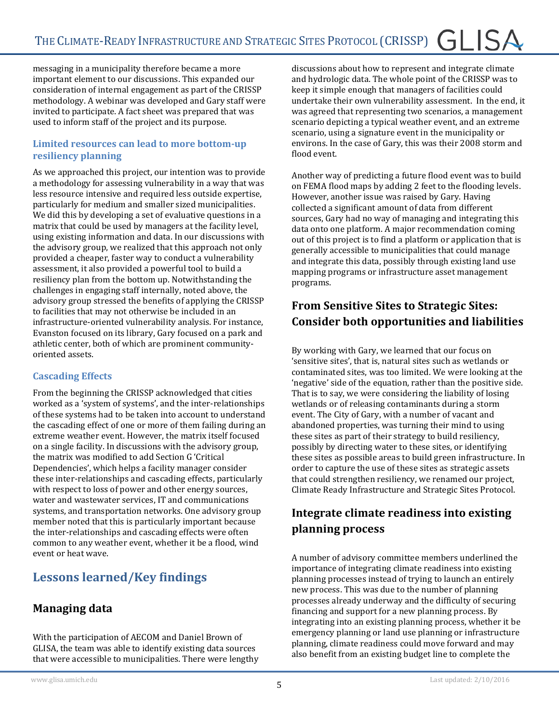messaging in a municipality therefore became a more important element to our discussions. This expanded our consideration of internal engagement as part of the CRISSP methodology. A webinar was developed and Gary staff were invited to participate. A fact sheet was prepared that was used to inform staff of the project and its purpose.

#### <span id="page-4-0"></span>**Limited resources can lead to more bottom-up resiliency planning**

As we approached this project, our intention was to provide a methodology for assessing vulnerability in a way that was less resource intensive and required less outside expertise, particularly for medium and smaller sized municipalities. We did this by developing a set of evaluative questions in a matrix that could be used by managers at the facility level, using existing information and data. In our discussions with the advisory group, we realized that this approach not only provided a cheaper, faster way to conduct a vulnerability assessment, it also provided a powerful tool to build a resiliency plan from the bottom up. Notwithstanding the challenges in engaging staff internally, noted above, the advisory group stressed the benefits of applying the CRISSP to facilities that may not otherwise be included in an infrastructure-oriented vulnerability analysis. For instance, Evanston focused on its library, Gary focused on a park and athletic center, both of which are prominent communityoriented assets.

#### <span id="page-4-1"></span>**Cascading Effects**

From the beginning the CRISSP acknowledged that cities worked as a 'system of systems', and the inter-relationships of these systems had to be taken into account to understand the cascading effect of one or more of them failing during an extreme weather event. However, the matrix itself focused on a single facility. In discussions with the advisory group, the matrix was modified to add Section G 'Critical Dependencies', which helps a facility manager consider these inter-relationships and cascading effects, particularly with respect to loss of power and other energy sources, water and wastewater services, IT and communications systems, and transportation networks. One advisory group member noted that this is particularly important because the inter-relationships and cascading effects were often common to any weather event, whether it be a flood, wind event or heat wave.

# <span id="page-4-2"></span>**Lessons learned/Key findings**

### <span id="page-4-3"></span>**Managing data**

With the participation of AECOM and Daniel Brown of GLISA, the team was able to identify existing data sources that were accessible to municipalities. There were lengthy

discussions about how to represent and integrate climate and hydrologic data. The whole point of the CRISSP was to keep it simple enough that managers of facilities could undertake their own vulnerability assessment. In the end, it was agreed that representing two scenarios, a management scenario depicting a typical weather event, and an extreme scenario, using a signature event in the municipality or environs. In the case of Gary, this was their 2008 storm and flood event.

Another way of predicting a future flood event was to build on FEMA flood maps by adding 2 feet to the flooding levels. However, another issue was raised by Gary. Having collected a significant amount of data from different sources, Gary had no way of managing and integrating this data onto one platform. A major recommendation coming out of this project is to find a platform or application that is generally accessible to municipalities that could manage and integrate this data, possibly through existing land use mapping programs or infrastructure asset management programs.

# <span id="page-4-4"></span>**From Sensitive Sites to Strategic Sites: Consider both opportunities and liabilities**

By working with Gary, we learned that our focus on 'sensitive sites', that is, natural sites such as wetlands or contaminated sites, was too limited. We were looking at the 'negative' side of the equation, rather than the positive side. That is to say, we were considering the liability of losing wetlands or of releasing contaminants during a storm event. The City of Gary, with a number of vacant and abandoned properties, was turning their mind to using these sites as part of their strategy to build resiliency, possibly by directing water to these sites, or identifying these sites as possible areas to build green infrastructure. In order to capture the use of these sites as strategic assets that could strengthen resiliency, we renamed our project, Climate Ready Infrastructure and Strategic Sites Protocol.

# <span id="page-4-5"></span>**Integrate climate readiness into existing planning process**

A number of advisory committee members underlined the importance of integrating climate readiness into existing planning processes instead of trying to launch an entirely new process. This was due to the number of planning processes already underway and the difficulty of securing financing and support for a new planning process. By integrating into an existing planning process, whether it be emergency planning or land use planning or infrastructure planning, climate readiness could move forward and may also benefit from an existing budget line to complete the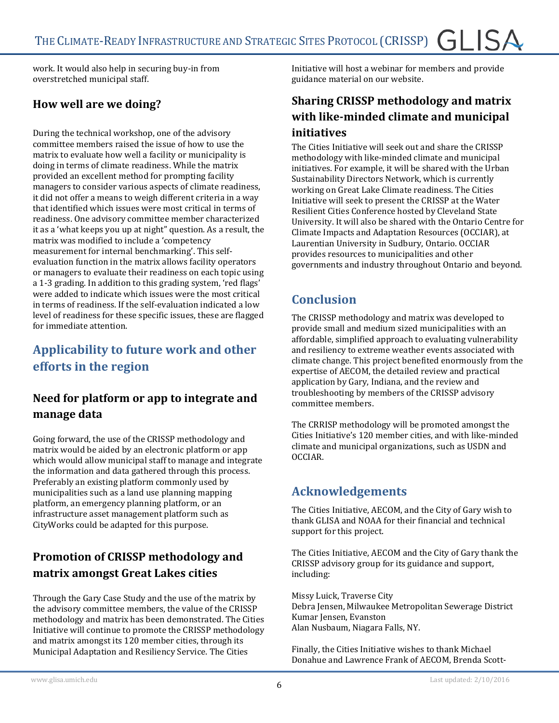work. It would also help in securing buy-in from overstretched municipal staff.

### <span id="page-5-0"></span>**How well are we doing?**

During the technical workshop, one of the advisory committee members raised the issue of how to use the matrix to evaluate how well a facility or municipality is doing in terms of climate readiness. While the matrix provided an excellent method for prompting facility managers to consider various aspects of climate readiness, it did not offer a means to weigh different criteria in a way that identified which issues were most critical in terms of readiness. One advisory committee member characterized it as a 'what keeps you up at night" question. As a result, the matrix was modified to include a 'competency measurement for internal benchmarking'. This selfevaluation function in the matrix allows facility operators or managers to evaluate their readiness on each topic using a 1-3 grading. In addition to this grading system, 'red flags' were added to indicate which issues were the most critical in terms of readiness. If the self-evaluation indicated a low level of readiness for these specific issues, these are flagged for immediate attention.

# <span id="page-5-1"></span>**Applicability to future work and other efforts in the region**

### <span id="page-5-2"></span>**Need for platform or app to integrate and manage data**

Going forward, the use of the CRISSP methodology and matrix would be aided by an electronic platform or app which would allow municipal staff to manage and integrate the information and data gathered through this process. Preferably an existing platform commonly used by municipalities such as a land use planning mapping platform, an emergency planning platform, or an infrastructure asset management platform such as CityWorks could be adapted for this purpose.

## <span id="page-5-3"></span>**Promotion of CRISSP methodology and matrix amongst Great Lakes cities**

Through the Gary Case Study and the use of the matrix by the advisory committee members, the value of the CRISSP methodology and matrix has been demonstrated. The Cities Initiative will continue to promote the CRISSP methodology and matrix amongst its 120 member cities, through its Municipal Adaptation and Resiliency Service. The Cities

Initiative will host a webinar for members and provide guidance material on our website.

### <span id="page-5-4"></span>**Sharing CRISSP methodology and matrix with like-minded climate and municipal initiatives**

The Cities Initiative will seek out and share the CRISSP methodology with like-minded climate and municipal initiatives. For example, it will be shared with the Urban Sustainability Directors Network, which is currently working on Great Lake Climate readiness. The Cities Initiative will seek to present the CRISSP at the Water Resilient Cities Conference hosted by Cleveland State University. It will also be shared with the Ontario Centre for Climate Impacts and Adaptation Resources (OCCIAR), at Laurentian University in Sudbury, Ontario. OCCIAR provides resources to municipalities and other governments and industry throughout Ontario and beyond.

# <span id="page-5-5"></span>**Conclusion**

The CRISSP methodology and matrix was developed to provide small and medium sized municipalities with an affordable, simplified approach to evaluating vulnerability and resiliency to extreme weather events associated with climate change. This project benefited enormously from the expertise of AECOM, the detailed review and practical application by Gary, Indiana, and the review and troubleshooting by members of the CRISSP advisory committee members.

The CRRISP methodology will be promoted amongst the Cities Initiative's 120 member cities, and with like-minded climate and municipal organizations, such as USDN and OCCIAR.

# **Acknowledgements**

The Cities Initiative, AECOM, and the City of Gary wish to thank GLISA and NOAA for their financial and technical support for this project.

The Cities Initiative, AECOM and the City of Gary thank the CRISSP advisory group for its guidance and support, including:

Missy Luick, Traverse City Debra Jensen, Milwaukee Metropolitan Sewerage District Kumar Jensen, Evanston Alan Nusbaum, Niagara Falls, NY.

Finally, the Cities Initiative wishes to thank Michael Donahue and Lawrence Frank of AECOM, Brenda Scott-